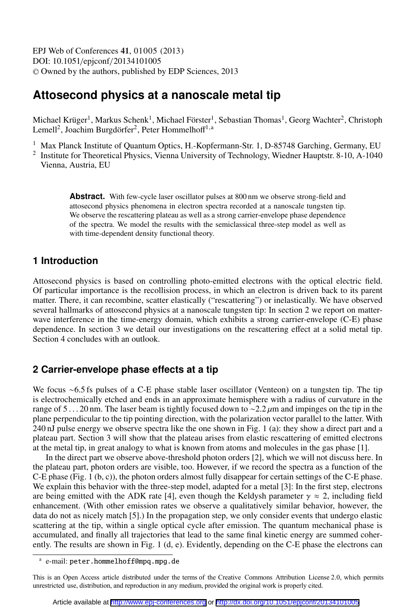EPJ Web of Conferences , **41** 01005 (2013) DOI: 10.1051/epjconf/20134101005 <sup>C</sup> Owned by the authors, published by EDP Sciences, 2013

# **Attosecond physics at a nanoscale metal tip**

Michael Krüger<sup>1</sup>, Markus Schenk<sup>1</sup>, Michael Förster<sup>1</sup>, Sebastian Thomas<sup>1</sup>, Georg Wachter<sup>2</sup>, Christoph Lemell<sup>2</sup>, Joachim Burgdörfer<sup>2</sup>, Peter Hommelhoff<sup>1,a</sup>

- <sup>1</sup> Max Planck Institute of Quantum Optics, H.-Kopfermann-Str. 1, D-85748 Garching, Germany, EU
- <sup>2</sup> Institute for Theoretical Physics, Vienna University of Technology, Wiedner Hauptstr. 8-10, A-1040 Vienna, Austria, EU

Abstract. With few-cycle laser oscillator pulses at 800 nm we observe strong-field and attosecond physics phenomena in electron spectra recorded at a nanoscale tungsten tip. We observe the rescattering plateau as well as a strong carrier-envelope phase dependence of the spectra. We model the results with the semiclassical three-step model as well as with time-dependent density functional theory.

### **1 Introduction**

Attosecond physics is based on controlling photo-emitted electrons with the optical electric field. Of particular importance is the recollision process, in which an electron is driven back to its parent matter. There, it can recombine, scatter elastically ("rescattering") or inelastically. We have observed several hallmarks of attosecond physics at a nanoscale tungsten tip: In section 2 we report on matterwave interference in the time-energy domain, which exhibits a strong carrier-envelope (C-E) phase dependence. In section 3 we detail our investigations on the rescattering effect at a solid metal tip. Section 4 concludes with an outlook.

## **2 Carrier-envelope phase effects at a tip**

We focus ∼6.5 fs pulses of a C-E phase stable laser oscillator (Venteon) on a tungsten tip. The tip is electrochemically etched and ends in an approximate hemisphere with a radius of curvature in the range of 5 . . . 20 nm. The laser beam is tightly focused down to ~2.2  $\mu$ m and impinges on the tip in the plane perpendicular to the tip pointing direction, with the polarization vector parallel to the latter. With 240 nJ pulse energy we observe spectra like the one shown in Fig. 1 (a): they show a direct part and a plateau part. Section 3 will show that the plateau arises from elastic rescattering of emitted electrons at the metal tip, in great analogy to what is known from atoms and molecules in the gas phase [1].

In the direct part we observe above-threshold photon orders [2], which we will not discuss here. In the plateau part, photon orders are visible, too. However, if we record the spectra as a function of the C-E phase (Fig. 1 (b, c)), the photon orders almost fully disappear for certain settings of the C-E phase. We explain this behavior with the three-step model, adapted for a metal [3]: In the first step, electrons are being emitted with the ADK rate [4], even though the Keldysh parameter  $\gamma \approx 2$ , including field enhancement. (With other emission rates we observe a qualitatively similar behavior, however, the data do not as nicely match [5].) In the propagation step, we only consider events that undergo elastic scattering at the tip, within a single optical cycle after emission. The quantum mechanical phase is accumulated, and finally all trajectories that lead to the same final kinetic energy are summed coherently. The results are shown in Fig. 1 (d, e). Evidently, depending on the C-E phase the electrons can

a e-mail: peter.hommelhoff@mpq.mpg.de

This is an Open Access article distributed under the terms of the Creative Commons Attribution License 2.0, which permits unrestricted use, distribution, and reproduction in any medium, provided the original work is properly cited.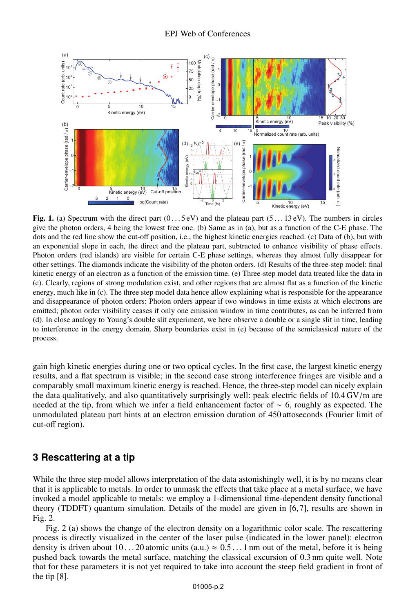

Fig. 1. (a) Spectrum with the direct part  $(0 \dots 5 \text{ eV})$  and the plateau part  $(5 \dots 13 \text{ eV})$ . The numbers in circles give the photon orders, 4 being the lowest free one. (b) Same as in (a), but as a function of the C-E phase. The dots and the red line show the cut-off position, i.e., the highest kinetic energies reached. (c) Data of (b), but with an exponential slope in each, the direct and the plateau part, subtracted to enhance visibility of phase effects. Photon orders (red islands) are visible for certain C-E phase settings, whereas they almost fully disappear for other settings. The diamonds indicate the visibility of the photon orders. (d) Results of the three-step model: final kinetic energy of an electron as a function of the emission time. (e) Three-step model data treated like the data in (c). Clearly, regions of strong modulation exist, and other regions that are almost flat as a function of the kinetic energy, much like in (c). The three step model data hence allow explaining what is responsible for the appearance and disappearance of photon orders: Photon orders appear if two windows in time exists at which electrons are emitted; photon order visibility ceases if only one emission window in time contributes, as can be inferred from (d). In close analogy to Young's double slit experiment, we here observe a double or a single slit in time, leading to interference in the energy domain. Sharp boundaries exist in (e) because of the semiclassical nature of the process.

gain high kinetic energies during one or two optical cycles. In the first case, the largest kinetic energy results, and a flat spectrum is visible; in the second case strong interference fringes are visible and a comparably small maximum kinetic energy is reached. Hence, the three-step model can nicely explain the data qualitatively, and also quantitatively surprisingly well: peak electric fields of 10.4 GV/m are needed at the tip, from which we infer a field enhancement factor of ∼ 6, roughly as expected. The unmodulated plateau part hints at an electron emission duration of 450 attoseconds (Fourier limit of cut-off region).

#### **3 Rescattering at a tip**

While the three step model allows interpretation of the data astonishingly well, it is by no means clear that it is applicable to metals. In order to unmask the effects that take place at a metal surface, we have invoked a model applicable to metals: we employ a 1-dimensional time-dependent density functional theory (TDDFT) quantum simulation. Details of the model are given in [6, 7], results are shown in Fig. 2.

Fig. 2 (a) shows the change of the electron density on a logarithmic color scale. The rescattering process is directly visualized in the center of the laser pulse (indicated in the lower panel): electron density is driven about 10... 20 atomic units (a.u.)  $\approx 0.5...1$  nm out of the metal, before it is being pushed back towards the metal surface, matching the classical excursion of 0.3 nm quite well. Note that for these parameters it is not yet required to take into account the steep field gradient in front of the tip [8].